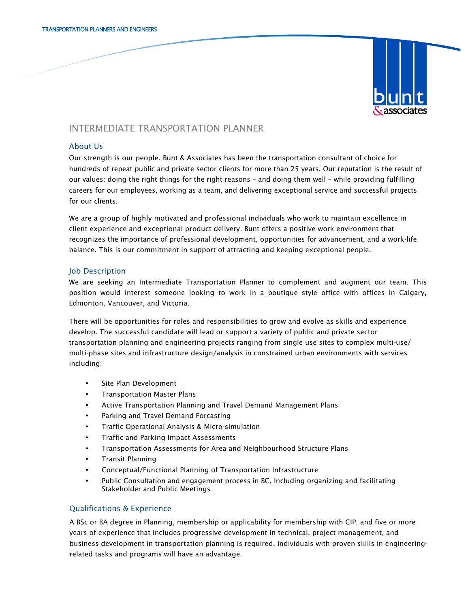

# INTERMEDIATE TRANSPORTATION PLANNER

## About Us

Our strength is our people. Bunt & Associates has been the transportation consultant of choice for hundreds of repeat public and private sector clients for more than 25 years. Our reputation is the result of our values: doing the right things for the right reasons – and doing them well – while providing fulfilling careers for our employees, working as a team, and delivering exceptional service and successful projects for our clients.

We are a group of highly motivated and professional individuals who work to maintain excellence in client experience and exceptional product delivery. Bunt offers a positive work environment that recognizes the importance of professional development, opportunities for advancement, and a work-life balance. This is our commitment in support of attracting and keeping exceptional people.

## Job Description

We are seeking an Intermediate Transportation Planner to complement and augment our team. This position would interest someone looking to work in a boutique style office with offices in Calgary, Edmonton, Vancouver, and Victoria.

There will be opportunities for roles and responsibilities to grow and evolve as skills and experience develop. The successful candidate will lead or support a variety of public and private sector transportation planning and engineering projects ranging from single use sites to complex multi-use/ multi-phase sites and infrastructure design/analysis in constrained urban environments with services including:

- Site Plan Development
- Transportation Master Plans
- Active Transportation Planning and Travel Demand Management Plans
- Parking and Travel Demand Forcasting
- Traffic Operational Analysis & Micro-simulation
- Traffic and Parking Impact Assessments
- Transportation Assessments for Area and Neighbourhood Structure Plans
- Transit Planning
- Conceptual/Functional Planning of Transportation Infrastructure
- Public Consultation and engagement process in BC, Including organizing and facilitating Stakeholder and Public Meetings

## Qualifications & Experience

A BSc or BA degree in Planning, membership or applicability for membership with CIP, and five or more years of experience that includes progressive development in technical, project management, and business development in transportation planning is required. Individuals with proven skills in engineeringrelated tasks and programs will have an advantage.